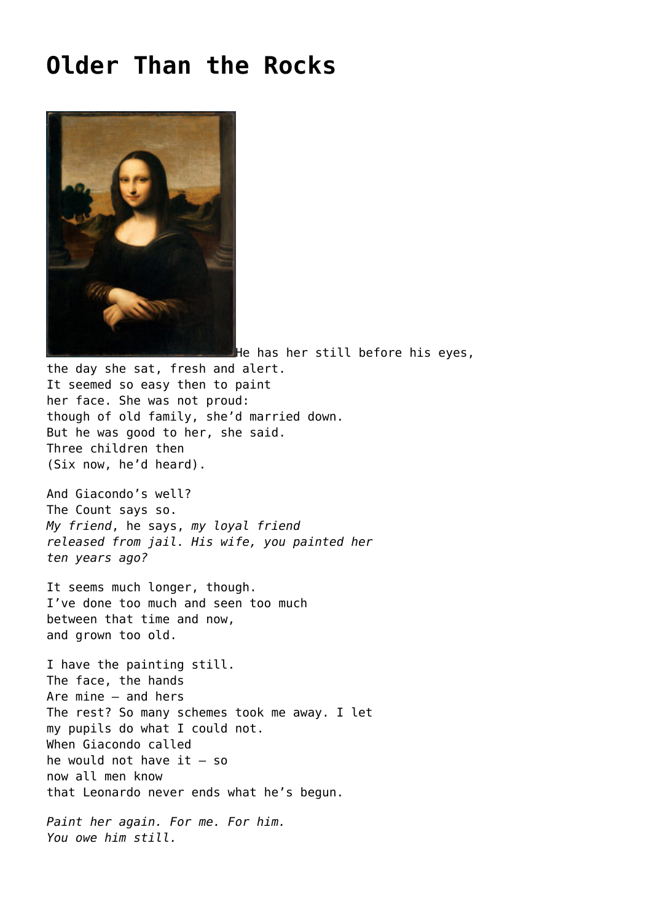## **[Older Than the Rocks](https://corncrakemagazine.com/article/older-than-the-rocks/)**



He has her still before his eyes, the day she sat, fresh and alert. It seemed so easy then to paint her face. She was not proud: though of old family, she'd married down. But he was good to her, she said. Three children then (Six now, he'd heard).

And Giacondo's well? The Count says so. *My friend*, he says, *my loyal friend released from jail. His wife, you painted her ten years ago?*

It seems much longer, though. I've done too much and seen too much between that time and now, and grown too old.

I have the painting still. The face, the hands Are mine – and hers The rest? So many schemes took me away. I let my pupils do what I could not. When Giacondo called he would not have it – so now all men know that Leonardo never ends what he's begun.

*Paint her again. For me. For him. You owe him still.*